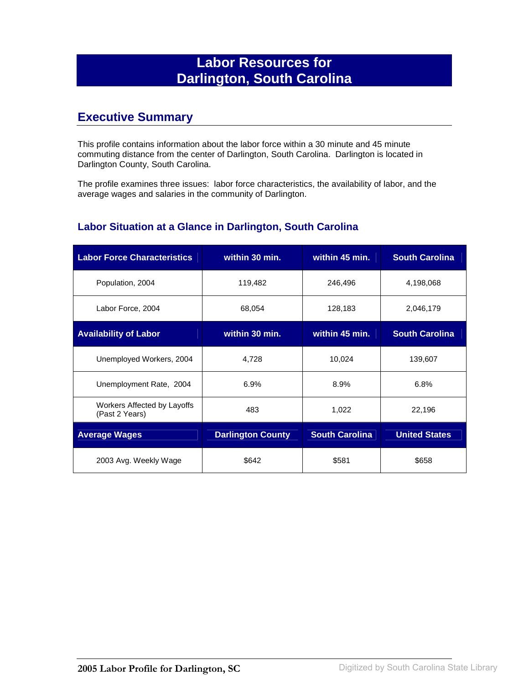# **Labor Resources for Darlington, South Carolina**

## **Executive Summary**

This profile contains information about the labor force within a 30 minute and 45 minute commuting distance from the center of Darlington, South Carolina. Darlington is located in Darlington County, South Carolina.

The profile examines three issues: labor force characteristics, the availability of labor, and the average wages and salaries in the community of Darlington.

#### **Labor Situation at a Glance in Darlington, South Carolina**

| <b>Labor Force Characteristics</b>            | within 30 min.           | within 45 min.        | <b>South Carolina</b> |
|-----------------------------------------------|--------------------------|-----------------------|-----------------------|
| Population, 2004                              | 119,482                  | 246,496               | 4,198,068             |
| Labor Force, 2004                             | 68,054                   | 128,183               | 2,046,179             |
| <b>Availability of Labor</b>                  | within 30 min.           | within 45 min.        | <b>South Carolina</b> |
| Unemployed Workers, 2004                      | 4,728                    | 10,024                | 139,607               |
| Unemployment Rate, 2004                       | 6.9%                     | 8.9%                  | 6.8%                  |
| Workers Affected by Layoffs<br>(Past 2 Years) | 483                      | 1,022                 | 22,196                |
| <b>Average Wages</b>                          | <b>Darlington County</b> | <b>South Carolina</b> | <b>United States</b>  |
| 2003 Avg. Weekly Wage                         | \$642                    | \$581                 | \$658                 |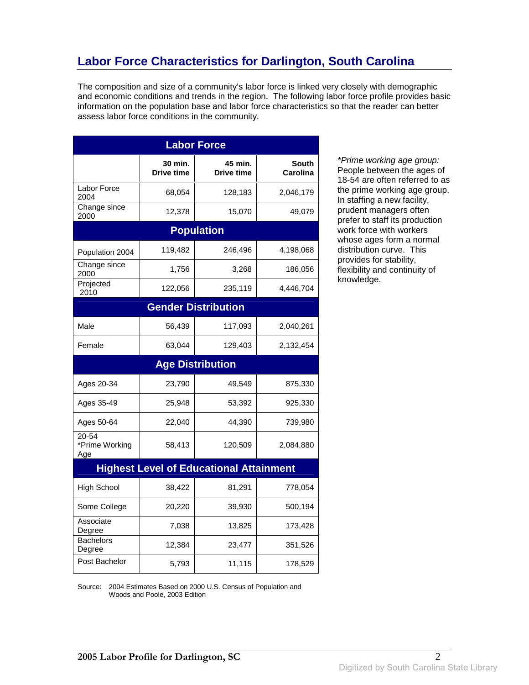# **Labor Force Characteristics for Darlington, South Carolina**

The composition and size of a community's labor force is linked very closely with demographic and economic conditions and trends in the region. The following labor force profile provides basic information on the population base and labor force characteristics so that the reader can better assess labor force conditions in the community.

| <b>Labor Force</b>             |                              |                                                |                                 |
|--------------------------------|------------------------------|------------------------------------------------|---------------------------------|
|                                | 30 min.<br><b>Drive time</b> | 45 min.<br>Drive time                          | <b>South</b><br><b>Carolina</b> |
| Labor Force<br>2004            | 68,054                       | 128,183                                        | 2,046,179                       |
| Change since<br>2000           | 12,378                       | 15,070                                         | 49,079                          |
|                                |                              | <b>Population</b>                              |                                 |
| Population 2004                | 119,482                      | 246,496                                        | 4,198,068                       |
| Change since<br>2000           | 1,756                        | 3,268                                          | 186,056                         |
| Projected<br>2010              | 122,056                      | 235,119                                        | 4,446,704                       |
|                                |                              | <b>Gender Distribution</b>                     |                                 |
| Male                           | 56,439                       | 117,093                                        | 2,040,261                       |
| Female                         | 63,044                       | 129,403                                        | 2,132,454                       |
|                                |                              | <b>Age Distribution</b>                        |                                 |
| Ages 20-34                     | 23,790                       | 49,549                                         | 875,330                         |
| Ages 35-49                     | 25,948                       | 53,392                                         | 925,330                         |
| Ages 50-64                     | 22,040                       | 44,390                                         | 739,980                         |
| 20-54<br>*Prime Working<br>Age | 58,413                       | 120,509                                        | 2,084,880                       |
|                                |                              | <b>Highest Level of Educational Attainment</b> |                                 |
| <b>High School</b>             | 38,422                       | 81,291                                         | 778,054                         |
| Some College                   | 20,220                       | 39,930                                         | 500,194                         |
| Associate<br>Degree            | 7,038                        | 13,825                                         | 173,428                         |
| <b>Bachelors</b><br>Degree     | 12,384                       | 23,477                                         | 351,526                         |
| Post Bachelor                  | 5,793                        | 11,115                                         | 178,529                         |

\*Prime working age group: People between the ages of 18-54 are often referred to as the prime working age group. In staffing a new facility, prudent managers often prefer to staff its production work force with workers whose ages form a normal distribution curve. This provides for stability, flexibility and continuity of knowledge.

Source: 2004 Estimates Based on 2000 U.S. Census of Population and Woods and Poole, 2003 Edition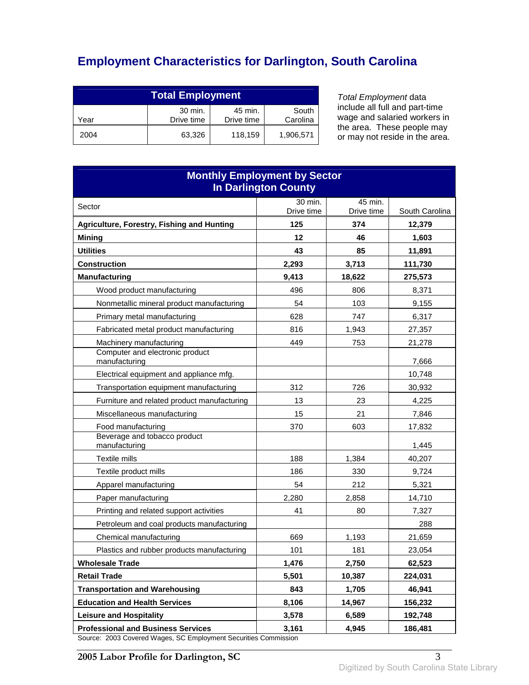# **Employment Characteristics for Darlington, South Carolina**

| <b>Total Employment</b>                                                     |        |         |           |
|-----------------------------------------------------------------------------|--------|---------|-----------|
| 30 min.<br>45 min.<br>South<br>Carolina<br>Drive time<br>Drive time<br>Year |        |         |           |
| 2004                                                                        | 63.326 | 118,159 | 1,906,571 |

Total Employment data include all full and part-time wage and salaried workers in the area. These people may or may not reside in the area.

| <b>Monthly Employment by Sector</b><br><b>In Darlington County</b> |            |            |                 |
|--------------------------------------------------------------------|------------|------------|-----------------|
| Sector                                                             | 30 min.    | 45 min.    |                 |
|                                                                    | Drive time | Drive time | South Carolina  |
| Agriculture, Forestry, Fishing and Hunting                         | 125<br>12  | 374<br>46  | 12,379<br>1,603 |
| <b>Mining</b><br><b>Utilities</b>                                  | 43         | 85         | 11,891          |
| <b>Construction</b>                                                | 2,293      | 3,713      | 111,730         |
| <b>Manufacturing</b>                                               | 9,413      | 18.622     | 275,573         |
| Wood product manufacturing                                         | 496        | 806        | 8,371           |
| Nonmetallic mineral product manufacturing                          | 54         | 103        | 9,155           |
| Primary metal manufacturing                                        | 628        | 747        | 6,317           |
| Fabricated metal product manufacturing                             | 816        | 1,943      | 27,357          |
| Machinery manufacturing                                            | 449        | 753        | 21,278          |
| Computer and electronic product<br>manufacturing                   |            |            | 7,666           |
| Electrical equipment and appliance mfg.                            |            |            | 10,748          |
| Transportation equipment manufacturing                             | 312        | 726        | 30,932          |
| Furniture and related product manufacturing                        | 13         | 23         | 4,225           |
| Miscellaneous manufacturing                                        | 15         | 21         | 7,846           |
| Food manufacturing                                                 | 370        | 603        | 17,832          |
| Beverage and tobacco product<br>manufacturing                      |            |            | 1,445           |
| Textile mills                                                      | 188        | 1,384      | 40,207          |
| Textile product mills                                              | 186        | 330        | 9,724           |
| Apparel manufacturing                                              | 54         | 212        | 5,321           |
| Paper manufacturing                                                | 2,280      | 2,858      | 14,710          |
| Printing and related support activities                            | 41         | 80         | 7,327           |
| Petroleum and coal products manufacturing                          |            |            | 288             |
| Chemical manufacturing                                             | 669        | 1,193      | 21,659          |
| Plastics and rubber products manufacturing                         | 101        | 181        | 23,054          |
| <b>Wholesale Trade</b>                                             | 1,476      | 2,750      | 62,523          |
| <b>Retail Trade</b>                                                | 5,501      | 10,387     | 224,031         |
| <b>Transportation and Warehousing</b>                              | 843        | 1,705      | 46,941          |
| <b>Education and Health Services</b>                               | 8,106      | 14,967     | 156,232         |
| <b>Leisure and Hospitality</b>                                     | 3,578      | 6,589      | 192,748         |
| <b>Professional and Business Services</b>                          | 3,161      | 4,945      | 186,481         |

Source: 2003 Covered Wages, SC Employment Securities Commission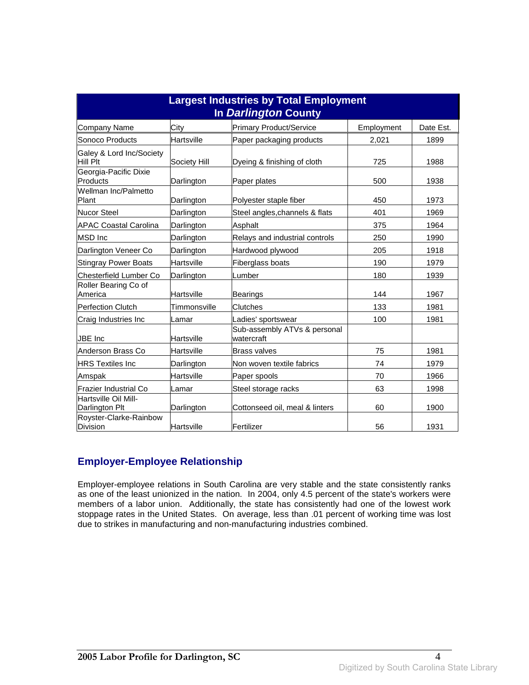| <b>Largest Industries by Total Employment</b><br>In Darlington County |                   |                                            |            |           |
|-----------------------------------------------------------------------|-------------------|--------------------------------------------|------------|-----------|
| <b>Company Name</b>                                                   | City              | <b>Primary Product/Service</b>             | Employment | Date Est. |
| Sonoco Products                                                       | Hartsville        | Paper packaging products                   | 2,021      | 1899      |
| Galey & Lord Inc/Society<br>Hill Plt                                  | Society Hill      | Dyeing & finishing of cloth                | 725        | 1988      |
| Georgia-Pacific Dixie<br>Products                                     | Darlington        | Paper plates                               | 500        | 1938      |
| Wellman Inc/Palmetto<br>Plant                                         | Darlington        | Polyester staple fiber                     | 450        | 1973      |
| <b>Nucor Steel</b>                                                    | Darlington        | Steel angles, channels & flats             | 401        | 1969      |
| <b>APAC Coastal Carolina</b>                                          | Darlington        | Asphalt                                    | 375        | 1964      |
| <b>MSD</b> Inc                                                        | Darlington        | Relays and industrial controls             | 250        | 1990      |
| Darlington Veneer Co                                                  | Darlington        | Hardwood plywood                           | 205        | 1918      |
| <b>Stingray Power Boats</b>                                           | Hartsville        | Fiberglass boats                           | 190        | 1979      |
| Chesterfield Lumber Co                                                | Darlington        | Lumber                                     | 180        | 1939      |
| Roller Bearing Co of<br>America                                       | <b>Hartsville</b> | Bearings                                   | 144        | 1967      |
| <b>Perfection Clutch</b>                                              | Timmonsville      | Clutches                                   | 133        | 1981      |
| Craig Industries Inc                                                  | Lamar             | Ladies' sportswear                         | 100        | 1981      |
| <b>JBE</b> Inc                                                        | Hartsville        | Sub-assembly ATVs & personal<br>watercraft |            |           |
| Anderson Brass Co                                                     | Hartsville        | <b>Brass valves</b>                        | 75         | 1981      |
| <b>HRS Textiles Inc</b>                                               | Darlington        | Non woven textile fabrics                  | 74         | 1979      |
| Amspak                                                                | Hartsville        | Paper spools                               | 70         | 1966      |
| lFrazier Industrial Co                                                | Lamar             | Steel storage racks                        | 63         | 1998      |
| Hartsville Oil Mill-<br>Darlington Plt                                | Darlington        | Cottonseed oil, meal & linters             | 60         | 1900      |
| Royster-Clarke-Rainbow<br><b>Division</b>                             | Hartsville        | Fertilizer                                 | 56         | 1931      |

#### **Employer-Employee Relationship**

Employer-employee relations in South Carolina are very stable and the state consistently ranks as one of the least unionized in the nation. In 2004, only 4.5 percent of the state's workers were members of a labor union. Additionally, the state has consistently had one of the lowest work stoppage rates in the United States. On average, less than .01 percent of working time was lost due to strikes in manufacturing and non-manufacturing industries combined.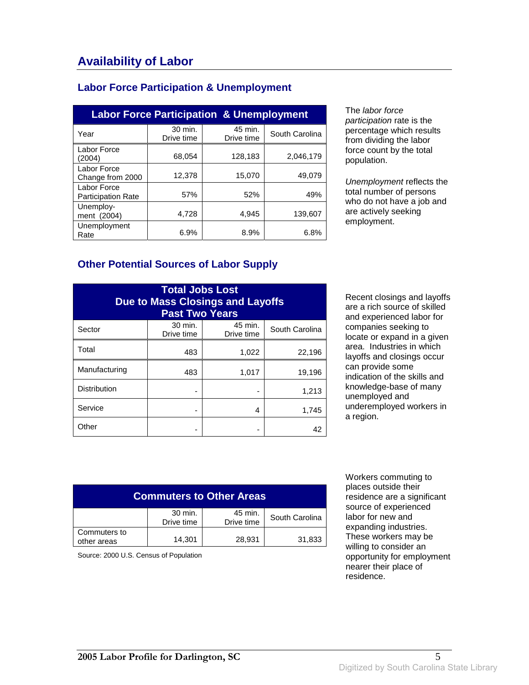### **Labor Force Participation & Unemployment**

| <b>Labor Force Participation &amp; Unemployment</b> |                       |                       |                |
|-----------------------------------------------------|-----------------------|-----------------------|----------------|
| Year                                                | 30 min.<br>Drive time | 45 min.<br>Drive time | South Carolina |
| Labor Force<br>(2004)                               | 68,054                | 128,183               | 2,046,179      |
| Labor Force<br>Change from 2000                     | 12,378                | 15,070                | 49,079         |
| Labor Force<br><b>Participation Rate</b>            | 57%                   | 52%                   | 49%            |
| Unemploy-<br>ment (2004)                            | 4,728                 | 4,945                 | 139.607        |
| Unemployment<br>Rate                                | 6.9%                  | 8.9%                  | 6.8%           |

The labor force participation rate is the percentage which results from dividing the labor force count by the total population.

Unemployment reflects the total number of persons who do not have a job and are actively seeking employment.

### **Other Potential Sources of Labor Supply**

| <b>Total Jobs Lost</b><br><b>Due to Mass Closings and Layoffs</b><br><b>Past Two Years</b> |                       |                       |                |
|--------------------------------------------------------------------------------------------|-----------------------|-----------------------|----------------|
| Sector                                                                                     | 30 min.<br>Drive time | 45 min.<br>Drive time | South Carolina |
| Total                                                                                      | 483                   | 1,022                 | 22,196         |
| Manufacturing                                                                              | 483                   | 1,017                 | 19,196         |
| <b>Distribution</b>                                                                        |                       |                       | 1,213          |
| Service                                                                                    |                       | 4                     | 1,745          |
| Other                                                                                      |                       |                       | 42             |

Recent closings and layoffs are a rich source of skilled and experienced labor for companies seeking to locate or expand in a given area. Industries in which layoffs and closings occur can provide some indication of the skills and knowledge-base of many unemployed and underemployed workers in a region.

| <b>Commuters to Other Areas</b> |                       |                       |                |
|---------------------------------|-----------------------|-----------------------|----------------|
|                                 | 30 min.<br>Drive time | 45 min.<br>Drive time | South Carolina |
| Commuters to<br>other areas     | 14,301                | 28,931                | 31,833         |

Source: 2000 U.S. Census of Population

 Workers commuting to places outside their residence are a significant source of experienced labor for new and expanding industries. These workers may be willing to consider an opportunity for employment nearer their place of residence.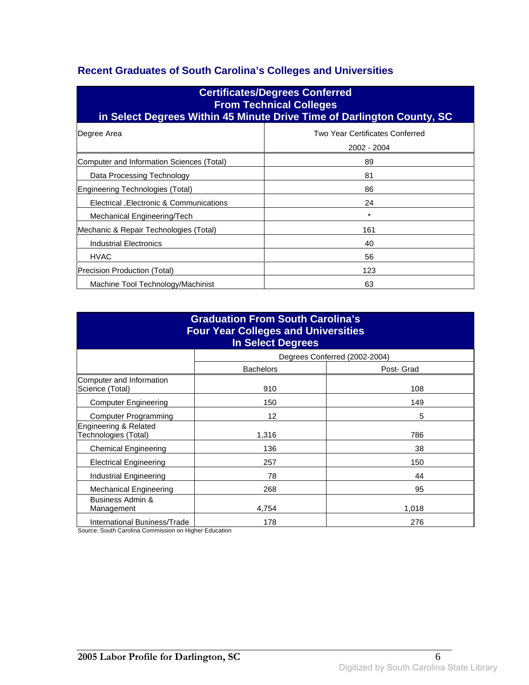### **Recent Graduates of South Carolina's Colleges and Universities**

| <b>Certificates/Degrees Conferred</b><br><b>From Technical Colleges</b><br>in Select Degrees Within 45 Minute Drive Time of Darlington County, SC |                                                |  |
|---------------------------------------------------------------------------------------------------------------------------------------------------|------------------------------------------------|--|
| Degree Area                                                                                                                                       | Two Year Certificates Conferred<br>2002 - 2004 |  |
| Computer and Information Sciences (Total)                                                                                                         | 89                                             |  |
| Data Processing Technology                                                                                                                        | 81                                             |  |
| Engineering Technologies (Total)                                                                                                                  | 86                                             |  |
| Electrical , Electronic & Communications                                                                                                          | 24                                             |  |
| Mechanical Engineering/Tech                                                                                                                       | $\star$                                        |  |
| Mechanic & Repair Technologies (Total)                                                                                                            | 161                                            |  |
| Industrial Electronics                                                                                                                            | 40                                             |  |
| <b>HVAC</b>                                                                                                                                       | 56                                             |  |
| Precision Production (Total)                                                                                                                      | 123                                            |  |
| Machine Tool Technology/Machinist                                                                                                                 | 63                                             |  |

| <b>Graduation From South Carolina's</b><br><b>Four Year Colleges and Universities</b><br><b>In Select Degrees</b> |                  |                               |  |
|-------------------------------------------------------------------------------------------------------------------|------------------|-------------------------------|--|
|                                                                                                                   |                  | Degrees Conferred (2002-2004) |  |
|                                                                                                                   | <b>Bachelors</b> | Post- Grad                    |  |
| Computer and Information<br>Science (Total)                                                                       | 910              | 108                           |  |
| <b>Computer Engineering</b>                                                                                       | 150              | 149                           |  |
| <b>Computer Programming</b>                                                                                       | 12               | 5                             |  |
| Engineering & Related<br>Technologies (Total)                                                                     | 1,316            | 786                           |  |
| <b>Chemical Engineering</b>                                                                                       | 136              | 38                            |  |
| <b>Electrical Engineering</b>                                                                                     | 257              | 150                           |  |
| Industrial Engineering                                                                                            | 78               | 44                            |  |
| Mechanical Engineering                                                                                            | 268              | 95                            |  |
| Business Admin &<br>Management                                                                                    | 4,754            | 1,018                         |  |
| International Business/Trade                                                                                      | 178              | 276                           |  |

Source: South Carolina Commission on Higher Education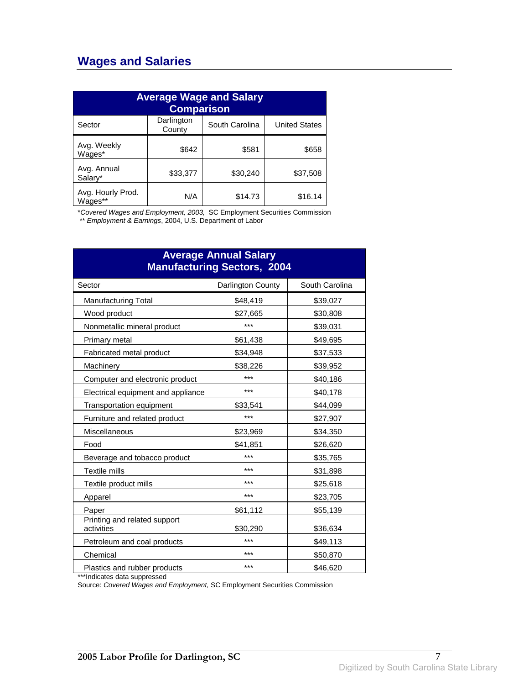## **Wages and Salaries**

| <b>Average Wage and Salary</b><br><b>Comparison</b> |                      |                |                      |
|-----------------------------------------------------|----------------------|----------------|----------------------|
| Sector                                              | Darlington<br>County | South Carolina | <b>United States</b> |
| Avg. Weekly<br>Wages*                               | \$642                | \$581          | \$658                |
| Avg. Annual<br>Salary*                              | \$33,377             | \$30,240       | \$37,508             |
| Avg. Hourly Prod.<br>Wages**                        | N/A                  | \$14.73        | \$16.14              |

\*Covered Wages and Employment, 2003, SC Employment Securities Commission

\*\* Employment & Earnings, 2004, U.S. Department of Labor

| <b>Average Annual Salary</b><br><b>Manufacturing Sectors, 2004</b> |                   |                |  |
|--------------------------------------------------------------------|-------------------|----------------|--|
| Sector                                                             | Darlington County | South Carolina |  |
| <b>Manufacturing Total</b>                                         | \$48,419          | \$39,027       |  |
| Wood product                                                       | \$27,665          | \$30,808       |  |
| Nonmetallic mineral product                                        | ***               | \$39,031       |  |
| Primary metal                                                      | \$61,438          | \$49,695       |  |
| Fabricated metal product                                           | \$34,948          | \$37,533       |  |
| Machinery                                                          | \$38,226          | \$39,952       |  |
| Computer and electronic product                                    | ***               | \$40,186       |  |
| Electrical equipment and appliance                                 | ***               | \$40,178       |  |
| Transportation equipment                                           | \$33,541          | \$44,099       |  |
| Furniture and related product                                      | ***               | \$27,907       |  |
| Miscellaneous                                                      | \$23,969          | \$34,350       |  |
| Food                                                               | \$41,851          | \$26,620       |  |
| Beverage and tobacco product                                       | ***               | \$35,765       |  |
| Textile mills                                                      | ***               | \$31,898       |  |
| Textile product mills                                              | ***               | \$25,618       |  |
| Apparel                                                            | ***               | \$23,705       |  |
| Paper                                                              | \$61,112          | \$55,139       |  |
| Printing and related support<br>activities                         | \$30,290          | \$36,634       |  |
| Petroleum and coal products                                        | ***               | \$49,113       |  |
| Chemical                                                           | ***               | \$50,870       |  |
| Plastics and rubber products                                       | ***               | \$46,620       |  |

\*\*\*Indicates data suppressed

Source: Covered Wages and Employment, SC Employment Securities Commission